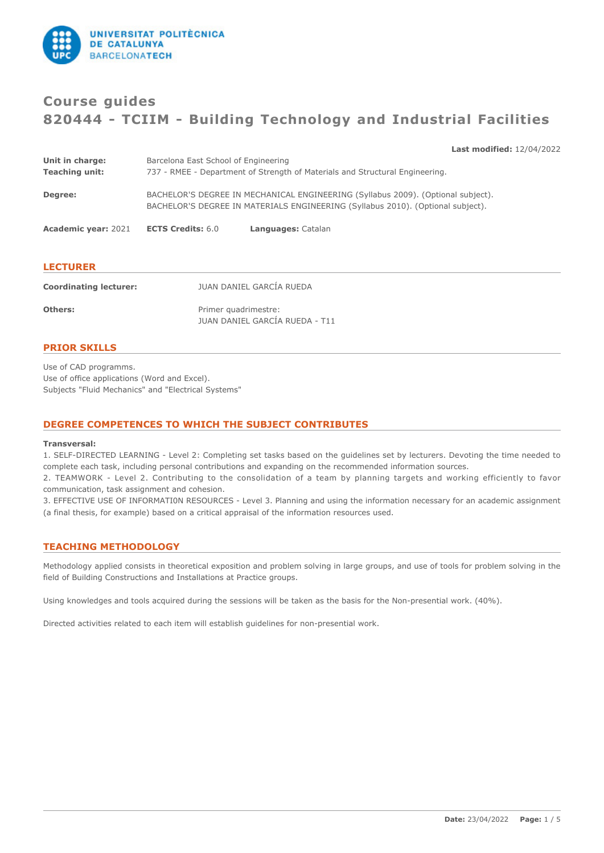

# **Course guides 820444 - TCIIM - Building Technology and Industrial Facilities**

**Last modified:** 12/04/2022

| Unit in charge:            | Barcelona East School of Engineering |                                                                                                                                                                     |
|----------------------------|--------------------------------------|---------------------------------------------------------------------------------------------------------------------------------------------------------------------|
| <b>Teaching unit:</b>      |                                      | 737 - RMEE - Department of Strength of Materials and Structural Engineering.                                                                                        |
| Degree:                    |                                      | BACHELOR'S DEGREE IN MECHANICAL ENGINEERING (Syllabus 2009). (Optional subject).<br>BACHELOR'S DEGREE IN MATERIALS ENGINEERING (Syllabus 2010). (Optional subject). |
| <b>Academic year: 2021</b> | <b>ECTS Credits: 6.0</b>             | Languages: Catalan                                                                                                                                                  |

| <b>LECTURER</b>               |                                                        |  |  |  |
|-------------------------------|--------------------------------------------------------|--|--|--|
| <b>Coordinating lecturer:</b> | JUAN DANIEL GARCÍA RUEDA                               |  |  |  |
| Others:                       | Primer quadrimestre:<br>JUAN DANIEL GARCÍA RUEDA - T11 |  |  |  |

# **PRIOR SKILLS**

Use of CAD programms. Use of office applications (Word and Excel). Subjects "Fluid Mechanics" and "Electrical Systems"

# **DEGREE COMPETENCES TO WHICH THE SUBJECT CONTRIBUTES**

#### **Transversal:**

1. SELF-DIRECTED LEARNING - Level 2: Completing set tasks based on the guidelines set by lecturers. Devoting the time needed to complete each task, including personal contributions and expanding on the recommended information sources.

2. TEAMWORK - Level 2. Contributing to the consolidation of a team by planning targets and working efficiently to favor communication, task assignment and cohesion.

3. EFFECTIVE USE OF INFORMATI0N RESOURCES - Level 3. Planning and using the information necessary for an academic assignment (a final thesis, for example) based on a critical appraisal of the information resources used.

# **TEACHING METHODOLOGY**

Methodology applied consists in theoretical exposition and problem solving in large groups, and use of tools for problem solving in the field of Building Constructions and Installations at Practice groups.

Using knowledges and tools acquired during the sessions will be taken as the basis for the Non-presential work. (40%).

Directed activities related to each item will establish guidelines for non-presential work.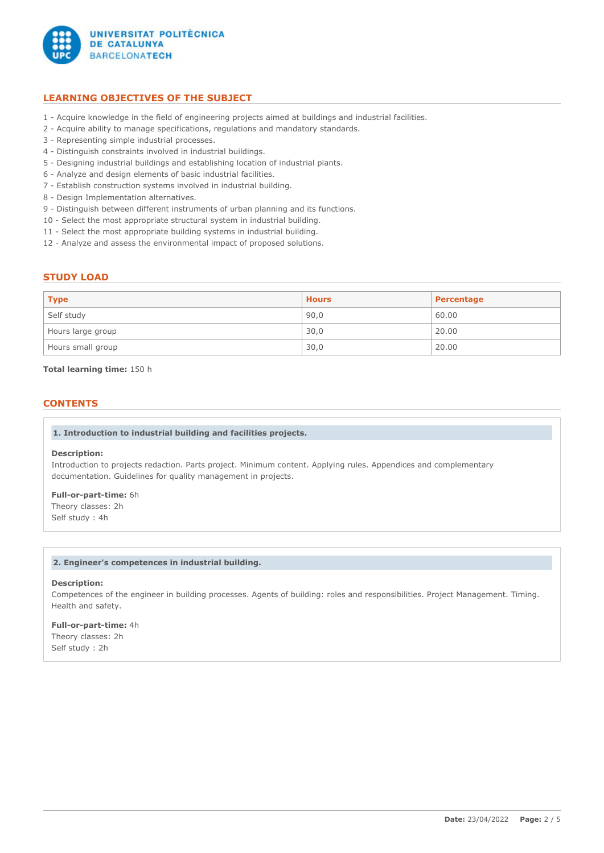

# **LEARNING OBJECTIVES OF THE SUBJECT**

- 1 Acquire knowledge in the field of engineering projects aimed at buildings and industrial facilities.
- 2 Acquire ability to manage specifications, regulations and mandatory standards.
- 3 Representing simple industrial processes.
- 4 Distinguish constraints involved in industrial buildings.
- 5 Designing industrial buildings and establishing location of industrial plants.
- 6 Analyze and design elements of basic industrial facilities.
- 7 Establish construction systems involved in industrial building.
- 8 Design Implementation alternatives.
- 9 Distinguish between different instruments of urban planning and its functions.
- 10 Select the most appropriate structural system in industrial building.
- 11 Select the most appropriate building systems in industrial building.
- 12 Analyze and assess the environmental impact of proposed solutions.

# **STUDY LOAD**

| <b>Type</b>       | <b>Hours</b> | Percentage |
|-------------------|--------------|------------|
| Self study        | 90,0         | 60.00      |
| Hours large group | 30,0         | 20.00      |
| Hours small group | 30,0         | 20.00      |

### **Total learning time:** 150 h

# **CONTENTS**

# **1. Introduction to industrial building and facilities projects.**

#### **Description:**

Introduction to projects redaction. Parts project. Minimum content. Applying rules. Appendices and complementary documentation. Guidelines for quality management in projects.

# **Full-or-part-time:** 6h

Theory classes: 2h Self study : 4h

### **2. Engineer's competences in industrial building.**

# **Description:**

Competences of the engineer in building processes. Agents of building: roles and responsibilities. Project Management. Timing. Health and safety.

**Full-or-part-time:** 4h Theory classes: 2h Self study : 2h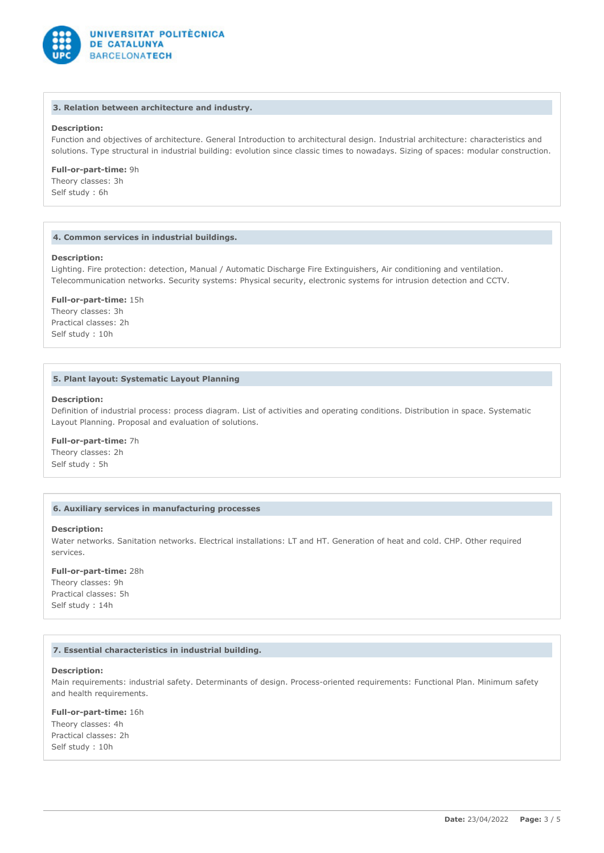

#### **3. Relation between architecture and industry.**

# **Description:**

Function and objectives of architecture. General Introduction to architectural design. Industrial architecture: characteristics and solutions. Type structural in industrial building: evolution since classic times to nowadays. Sizing of spaces: modular construction.

**Full-or-part-time:** 9h

Theory classes: 3h Self study : 6h

# **4. Common services in industrial buildings.**

#### **Description:**

Lighting. Fire protection: detection, Manual / Automatic Discharge Fire Extinguishers, Air conditioning and ventilation. Telecommunication networks. Security systems: Physical security, electronic systems for intrusion detection and CCTV.

**Full-or-part-time:** 15h

Theory classes: 3h Practical classes: 2h Self study : 10h

# **5. Plant layout: Systematic Layout Planning**

#### **Description:**

Definition of industrial process: process diagram. List of activities and operating conditions. Distribution in space. Systematic Layout Planning. Proposal and evaluation of solutions.

# **Full-or-part-time:** 7h

Theory classes: 2h Self study : 5h

### **6. Auxiliary services in manufacturing processes**

### **Description:**

Water networks. Sanitation networks. Electrical installations: LT and HT. Generation of heat and cold. CHP. Other required services.

# **Full-or-part-time:** 28h

Theory classes: 9h Practical classes: 5h Self study : 14h

#### **7. Essential characteristics in industrial building.**

#### **Description:**

Main requirements: industrial safety. Determinants of design. Process-oriented requirements: Functional Plan. Minimum safety and health requirements.

#### **Full-or-part-time:** 16h

Theory classes: 4h Practical classes: 2h Self study : 10h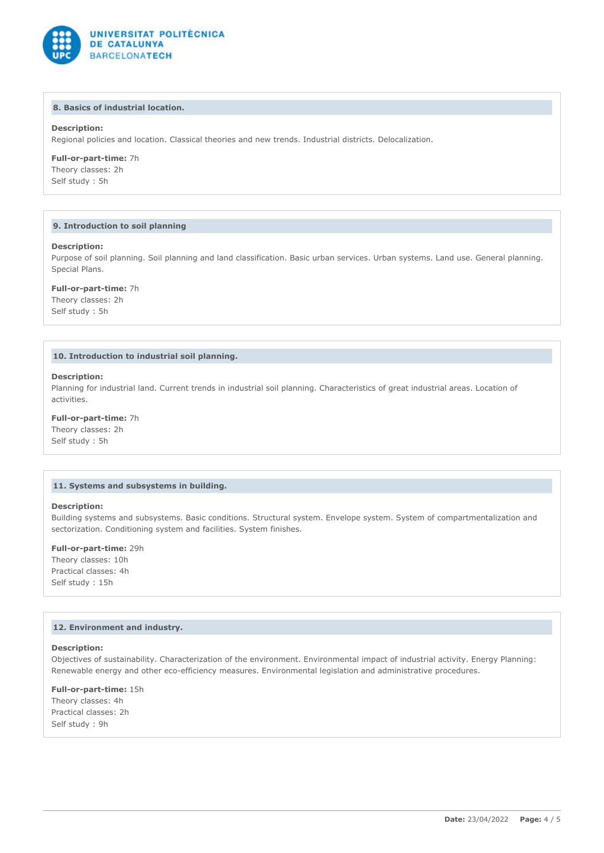

# **8. Basics of industrial location.**

# **Description:**

Regional policies and location. Classical theories and new trends. Industrial districts. Delocalization.

### **Full-or-part-time:** 7h

Theory classes: 2h Self study : 5h

#### **9. Introduction to soil planning**

#### **Description:**

Purpose of soil planning. Soil planning and land classification. Basic urban services. Urban systems. Land use. General planning. Special Plans.

#### **Full-or-part-time:** 7h

Theory classes: 2h Self study : 5h

### **10. Introduction to industrial soil planning.**

#### **Description:**

Planning for industrial land. Current trends in industrial soil planning. Characteristics of great industrial areas. Location of activities.

**Full-or-part-time:** 7h Theory classes: 2h Self study : 5h

# **11. Systems and subsystems in building.**

# **Description:**

Building systems and subsystems. Basic conditions. Structural system. Envelope system. System of compartmentalization and sectorization. Conditioning system and facilities. System finishes.

#### **Full-or-part-time:** 29h

Theory classes: 10h Practical classes: 4h Self study : 15h

#### **12. Environment and industry.**

# **Description:**

Objectives of sustainability. Characterization of the environment. Environmental impact of industrial activity. Energy Planning: Renewable energy and other eco-efficiency measures. Environmental legislation and administrative procedures.

#### **Full-or-part-time:** 15h

Theory classes: 4h Practical classes: 2h Self study : 9h